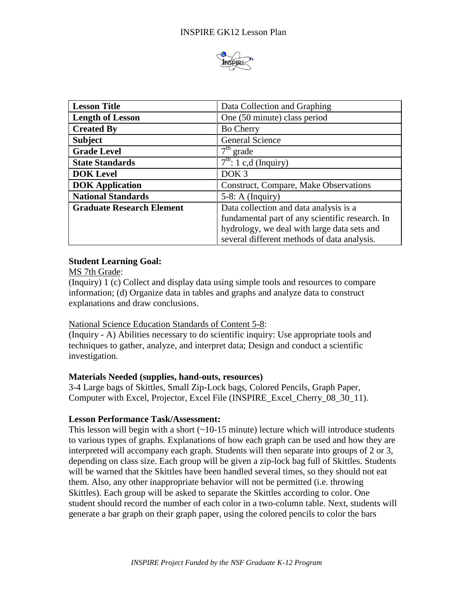

| <b>Lesson Title</b>              | Data Collection and Graphing                    |
|----------------------------------|-------------------------------------------------|
| <b>Length of Lesson</b>          | One (50 minute) class period                    |
| <b>Created By</b>                | <b>Bo Cherry</b>                                |
| <b>Subject</b>                   | <b>General Science</b>                          |
| <b>Grade Level</b>               | $7th$ grade                                     |
| <b>State Standards</b>           | $\overline{7^{th}}$ : 1 c,d (Inquiry)           |
| <b>DOK</b> Level                 | DOK <sub>3</sub>                                |
| <b>DOK</b> Application           | Construct, Compare, Make Observations           |
| <b>National Standards</b>        | $5-8$ : A (Inquiry)                             |
| <b>Graduate Research Element</b> | Data collection and data analysis is a          |
|                                  | fundamental part of any scientific research. In |
|                                  | hydrology, we deal with large data sets and     |
|                                  | several different methods of data analysis.     |

## **Student Learning Goal:**

MS 7th Grade:

(Inquiry) 1 (c) Collect and display data using simple tools and resources to compare information; (d) Organize data in tables and graphs and analyze data to construct explanations and draw conclusions.

### National Science Education Standards of Content 5-8:

(Inquiry - A) Abilities necessary to do scientific inquiry: Use appropriate tools and techniques to gather, analyze, and interpret data; Design and conduct a scientific investigation.

### **Materials Needed (supplies, hand-outs, resources)**

3-4 Large bags of Skittles, Small Zip-Lock bags, Colored Pencils, Graph Paper, Computer with Excel, Projector, Excel File (INSPIRE\_Excel\_Cherry\_08\_30\_11).

# **Lesson Performance Task/Assessment:**

This lesson will begin with a short  $(\sim 10^{-15}$  minute) lecture which will introduce students to various types of graphs. Explanations of how each graph can be used and how they are interpreted will accompany each graph. Students will then separate into groups of 2 or 3, depending on class size. Each group will be given a zip-lock bag full of Skittles. Students will be warned that the Skittles have been handled several times, so they should not eat them. Also, any other inappropriate behavior will not be permitted (i.e. throwing Skittles). Each group will be asked to separate the Skittles according to color. One student should record the number of each color in a two-column table. Next, students will generate a bar graph on their graph paper, using the colored pencils to color the bars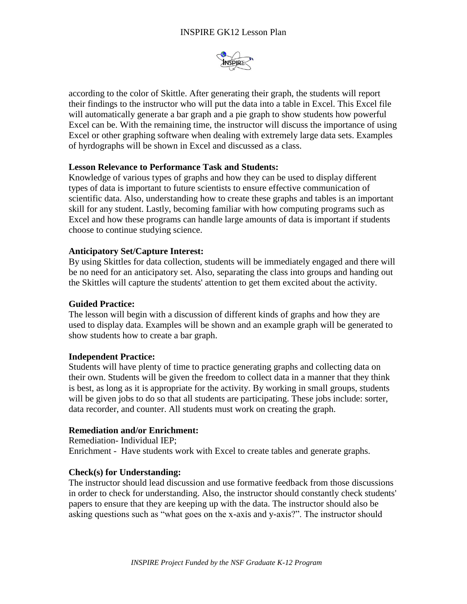

according to the color of Skittle. After generating their graph, the students will report their findings to the instructor who will put the data into a table in Excel. This Excel file will automatically generate a bar graph and a pie graph to show students how powerful Excel can be. With the remaining time, the instructor will discuss the importance of using Excel or other graphing software when dealing with extremely large data sets. Examples of hyrdographs will be shown in Excel and discussed as a class.

### **Lesson Relevance to Performance Task and Students:**

Knowledge of various types of graphs and how they can be used to display different types of data is important to future scientists to ensure effective communication of scientific data. Also, understanding how to create these graphs and tables is an important skill for any student. Lastly, becoming familiar with how computing programs such as Excel and how these programs can handle large amounts of data is important if students choose to continue studying science.

### **Anticipatory Set/Capture Interest:**

By using Skittles for data collection, students will be immediately engaged and there will be no need for an anticipatory set. Also, separating the class into groups and handing out the Skittles will capture the students' attention to get them excited about the activity.

#### **Guided Practice:**

The lesson will begin with a discussion of different kinds of graphs and how they are used to display data. Examples will be shown and an example graph will be generated to show students how to create a bar graph.

### **Independent Practice:**

Students will have plenty of time to practice generating graphs and collecting data on their own. Students will be given the freedom to collect data in a manner that they think is best, as long as it is appropriate for the activity. By working in small groups, students will be given jobs to do so that all students are participating. These jobs include: sorter, data recorder, and counter. All students must work on creating the graph.

### **Remediation and/or Enrichment:**

Remediation- Individual IEP; Enrichment - Have students work with Excel to create tables and generate graphs.

### **Check(s) for Understanding:**

The instructor should lead discussion and use formative feedback from those discussions in order to check for understanding. Also, the instructor should constantly check students' papers to ensure that they are keeping up with the data. The instructor should also be asking questions such as "what goes on the x-axis and y-axis?". The instructor should